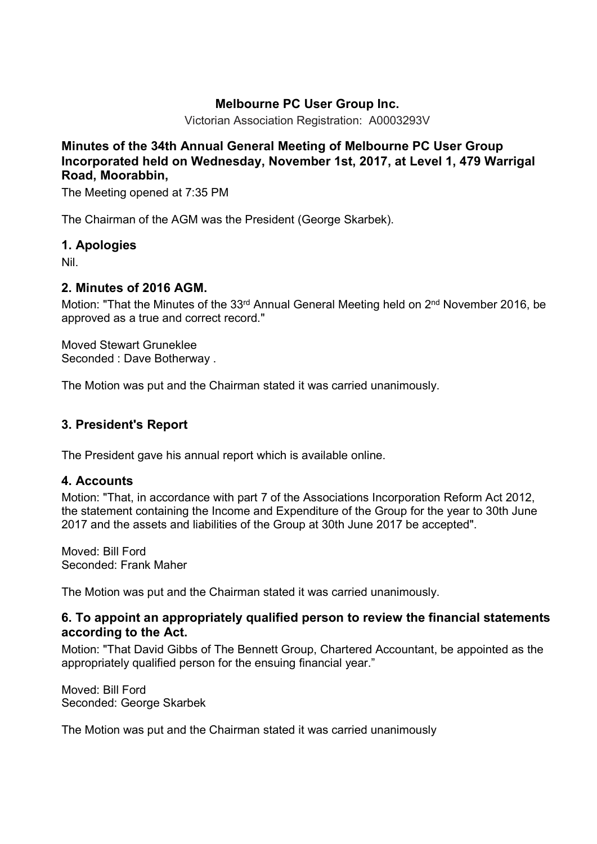# **Melbourne PC User Group Inc.**

Victorian Association Registration: A0003293V

## **Minutes of the 34th Annual General Meeting of Melbourne PC User Group Incorporated held on Wednesday, November 1st, 2017, at Level 1, 479 Warrigal Road, Moorabbin,**

The Meeting opened at 7:35 PM

The Chairman of the AGM was the President (George Skarbek).

### **1. Apologies**

Nil.

#### **2. Minutes of 2016 AGM.**

Motion: "That the Minutes of the 33<sup>rd</sup> Annual General Meeting held on 2<sup>nd</sup> November 2016, be approved as a true and correct record."

Moved Stewart Gruneklee Seconded : Dave Botherway .

The Motion was put and the Chairman stated it was carried unanimously.

# **3. President's Report**

The President gave his annual report which is available online.

## **4. Accounts**

Motion: "That, in accordance with part 7 of the Associations Incorporation Reform Act 2012, the statement containing the Income and Expenditure of the Group for the year to 30th June 2017 and the assets and liabilities of the Group at 30th June 2017 be accepted".

Moved: Bill Ford Seconded: Frank Maher

The Motion was put and the Chairman stated it was carried unanimously.

### **6. To appoint an appropriately qualified person to review the financial statements according to the Act.**

Motion: "That David Gibbs of The Bennett Group, Chartered Accountant, be appointed as the appropriately qualified person for the ensuing financial year."

Moved: Bill Ford Seconded: George Skarbek

The Motion was put and the Chairman stated it was carried unanimously